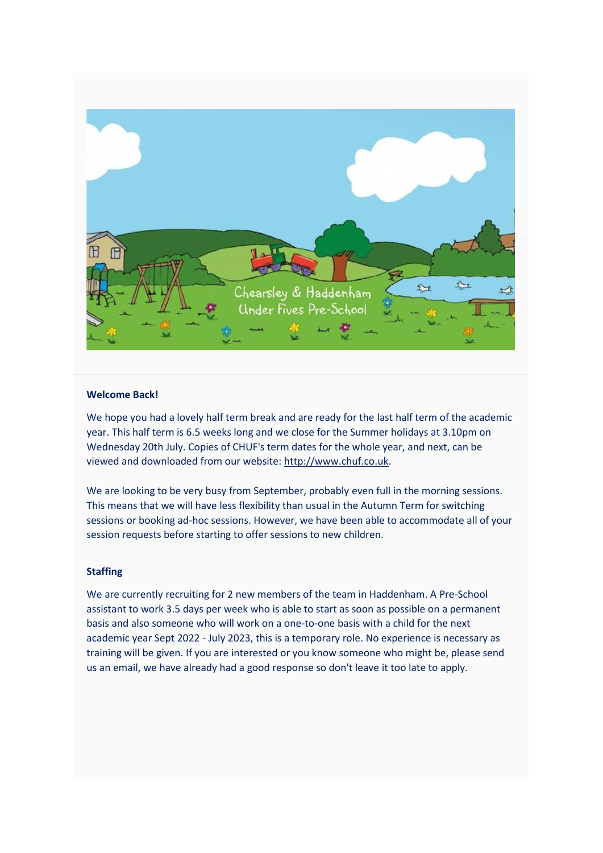

## **Welcome Back!**

We hope you had a lovely half term break and are ready for the last half term of the academic year. This half term is 6.5 weeks long and we close for the Summer holidays at 3.10pm on Wednesday 20th July. Copies of CHUF's term dates for the whole year, and next, can be viewed and downloaded from our website: [http://www.chuf.co.uk.](http://www.chuf.co.uk/)

We are looking to be very busy from September, probably even full in the morning sessions. This means that we will have less flexibility than usual in the Autumn Term for switching sessions or booking ad-hoc sessions. However, we have been able to accommodate all of your session requests before starting to offer sessions to new children.

## **Staffing**

We are currently recruiting for 2 new members of the team in Haddenham. A Pre-School assistant to work 3.5 days per week who is able to start as soon as possible on a permanent basis and also someone who will work on a one-to-one basis with a child for the next academic year Sept 2022 - July 2023, this is a temporary role. No experience is necessary as training will be given. If you are interested or you know someone who might be, please send us an email, we have already had a good response so don't leave it too late to apply.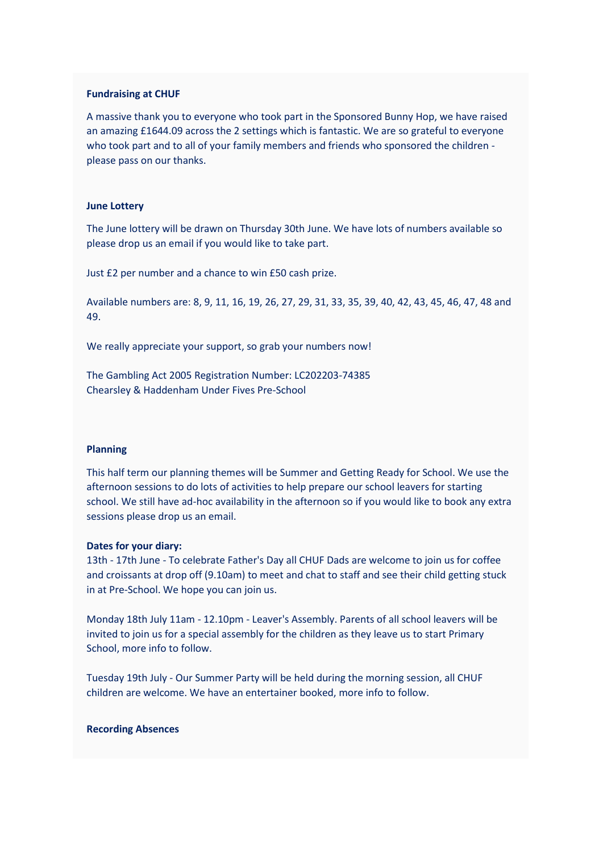#### **Fundraising at CHUF**

A massive thank you to everyone who took part in the Sponsored Bunny Hop, we have raised an amazing £1644.09 across the 2 settings which is fantastic. We are so grateful to everyone who took part and to all of your family members and friends who sponsored the children please pass on our thanks.

#### **June Lottery**

The June lottery will be drawn on Thursday 30th June. We have lots of numbers available so please drop us an email if you would like to take part.

Just £2 per number and a chance to win £50 cash prize.

Available numbers are: 8, 9, 11, 16, 19, 26, 27, 29, 31, 33, 35, 39, 40, 42, 43, 45, 46, 47, 48 and 49.

We really appreciate your support, so grab your numbers now!

The Gambling Act 2005 Registration Number: LC202203-74385 Chearsley & Haddenham Under Fives Pre-School

## **Planning**

This half term our planning themes will be Summer and Getting Ready for School. We use the afternoon sessions to do lots of activities to help prepare our school leavers for starting school. We still have ad-hoc availability in the afternoon so if you would like to book any extra sessions please drop us an email.

#### **Dates for your diary:**

13th - 17th June - To celebrate Father's Day all CHUF Dads are welcome to join us for coffee and croissants at drop off (9.10am) to meet and chat to staff and see their child getting stuck in at Pre-School. We hope you can join us.

Monday 18th July 11am - 12.10pm - Leaver's Assembly. Parents of all school leavers will be invited to join us for a special assembly for the children as they leave us to start Primary School, more info to follow.

Tuesday 19th July - Our Summer Party will be held during the morning session, all CHUF children are welcome. We have an entertainer booked, more info to follow.

#### **Recording Absences**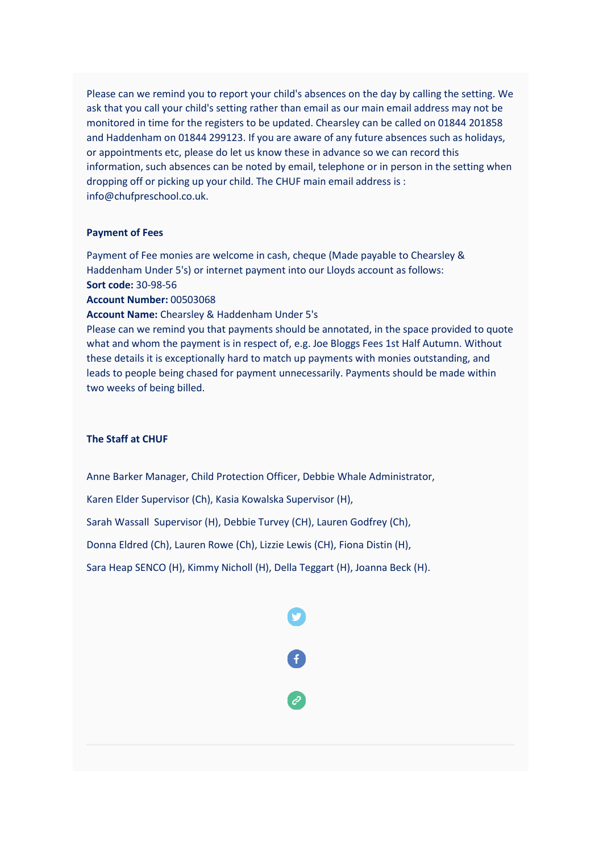Please can we remind you to report your child's absences on the day by calling the setting. We ask that you call your child's setting rather than email as our main email address may not be monitored in time for the registers to be updated. Chearsley can be called on 01844 201858 and Haddenham on 01844 299123. If you are aware of any future absences such as holidays, or appointments etc, please do let us know these in advance so we can record this information, such absences can be noted by email, telephone or in person in the setting when dropping off or picking up your child. The CHUF main email address is : info@chufpreschool.co.uk.

## **Payment of Fees**

Payment of Fee monies are welcome in cash, cheque (Made payable to Chearsley & Haddenham Under 5's) or internet payment into our Lloyds account as follows: **Sort code:** 30-98-56

**Account Number:** 00503068

**Account Name:** Chearsley & Haddenham Under 5's

Please can we remind you that payments should be annotated, in the space provided to quote what and whom the payment is in respect of, e.g. Joe Bloggs Fees 1st Half Autumn. Without these details it is exceptionally hard to match up payments with monies outstanding, and leads to people being chased for payment unnecessarily. Payments should be made within two weeks of being billed.

# **The Staff at CHUF**

Anne Barker Manager, Child Protection Officer, Debbie Whale Administrator,

Karen Elder Supervisor (Ch), Kasia Kowalska Supervisor (H),

Sarah Wassall Supervisor (H), Debbie Turvey (CH), Lauren Godfrey (Ch),

Donna Eldred (Ch), Lauren Rowe (Ch), Lizzie Lewis (CH), Fiona Distin (H),

Sara Heap SENCO (H), Kimmy Nicholl (H), Della Teggart (H), Joanna Beck (H).